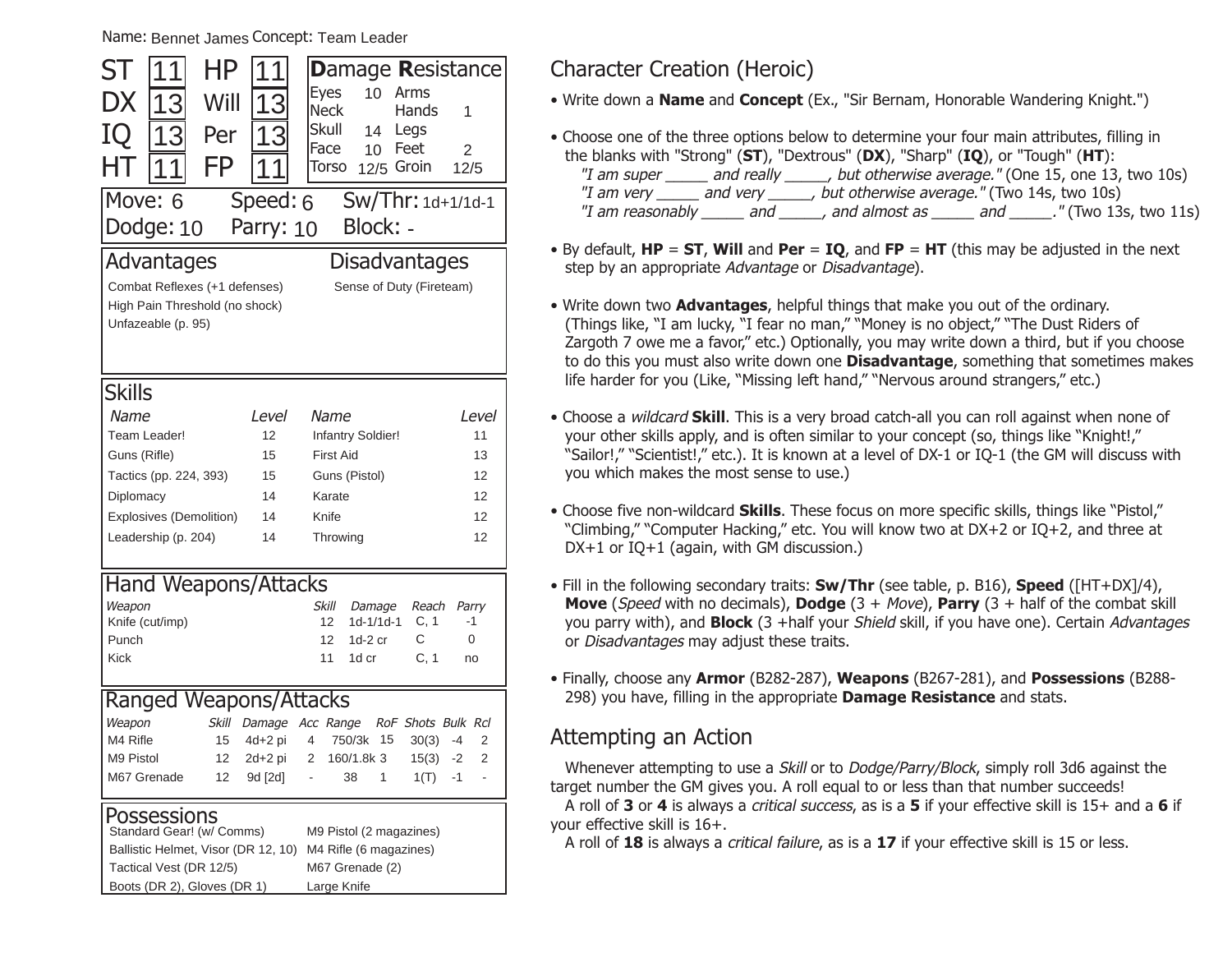Name: Bennet James Concept: Team Leader

| ST<br>1                                                       | ΗP                                                              | 1            | <b>Damage Resistance</b>                              |                        |  |  |
|---------------------------------------------------------------|-----------------------------------------------------------------|--------------|-------------------------------------------------------|------------------------|--|--|
| DX                                                            | Will<br>13                                                      | 13           | <b>Eyes</b><br>10<br>Arms                             |                        |  |  |
|                                                               |                                                                 |              | Neck<br>Hands<br><b>Skull</b>                         | 1                      |  |  |
| IQ                                                            | Per<br>13                                                       | 1<br>З       | Legs<br>14<br>Face<br>Feet<br>10                      | $\overline{2}$         |  |  |
| HT<br>1                                                       | FP                                                              |              | Torso<br>12/5 Groin                                   | 12/5                   |  |  |
| Move: 6                                                       |                                                                 | Speed: 6     | Sw/Thr: 1d+1/1d-1                                     |                        |  |  |
|                                                               | Block: -<br>Dodge: 10<br>Parry: 10                              |              |                                                       |                        |  |  |
|                                                               |                                                                 |              |                                                       |                        |  |  |
|                                                               | Advantages                                                      |              | <b>Disadvantages</b>                                  |                        |  |  |
|                                                               | Combat Reflexes (+1 defenses)<br>High Pain Threshold (no shock) |              | Sense of Duty (Fireteam)                              |                        |  |  |
| Unfazeable (p. 95)                                            |                                                                 |              |                                                       |                        |  |  |
|                                                               |                                                                 |              |                                                       |                        |  |  |
|                                                               |                                                                 |              |                                                       |                        |  |  |
| <b>Skills</b>                                                 |                                                                 |              |                                                       |                        |  |  |
| Name                                                          |                                                                 | <i>Level</i> | Name                                                  | <i>Level</i>           |  |  |
| Team Leader!                                                  |                                                                 | 12           | Infantry Soldier!                                     | 11                     |  |  |
| Guns (Rifle)                                                  |                                                                 | 15           | <b>First Aid</b>                                      | 13                     |  |  |
| Tactics (pp. 224, 393)                                        |                                                                 | 15           | Guns (Pistol)                                         | 12                     |  |  |
| Diplomacy                                                     |                                                                 | 14           | Karate                                                | 12                     |  |  |
| Explosives (Demolition)<br>14                                 |                                                                 |              | Knife                                                 | 12                     |  |  |
|                                                               | Leadership (p. 204)                                             | 14           | Throwing                                              | 12                     |  |  |
|                                                               |                                                                 |              |                                                       |                        |  |  |
|                                                               | <b>Hand Weapons/Attacks</b>                                     |              |                                                       |                        |  |  |
| Weapon<br>Knife (cut/imp)                                     |                                                                 |              | Skill<br>Reach<br>Damage<br>C, 1<br>$1d-1/1d-1$<br>12 | Parry<br>-1            |  |  |
| Punch                                                         |                                                                 |              | C<br>12<br>$1d-2$ cr                                  | 0                      |  |  |
| <b>Kick</b>                                                   |                                                                 |              | C, 1<br>11<br>1d cr                                   | no                     |  |  |
|                                                               |                                                                 |              |                                                       |                        |  |  |
|                                                               | Ranged Weapons/Attacks                                          |              |                                                       |                        |  |  |
| Weapon                                                        | <b>Skill</b>                                                    | Damage       | Acc Range<br>RoF Shots Bulk Rcl                       |                        |  |  |
| M4 Rifle                                                      | 15                                                              | $4d+2pi$     | 4<br>15<br>750/3k<br>30(3)                            | $\overline{2}$<br>$-4$ |  |  |
| M9 Pistol                                                     | 12                                                              | 2d+2 pi      | 2<br>160/1.8k 3<br>15(3)                              | $\overline{2}$<br>$-2$ |  |  |
| M67 Grenade                                                   | 12                                                              | 9d [2d]      | 1<br>1(T)<br>$\overline{a}$<br>38                     | $-1$<br>$\overline{a}$ |  |  |
|                                                               | Possessions                                                     |              |                                                       |                        |  |  |
|                                                               | Standard Gear! (w/ Comms)                                       |              | M9 Pistol (2 magazines)                               |                        |  |  |
| Ballistic Helmet, Visor (DR 12, 10)<br>M4 Rifle (6 magazines) |                                                                 |              |                                                       |                        |  |  |

M67 Grenade (2) Large Knife

Tactical Vest (DR 12/5) Boots (DR 2), Gloves (DR 1)

### Character Creation (Heroic)

• Write down a **Name** and **Concept** (Ex., "Sir Bernam, Honorable Wandering Knight.")

- Choose one of the three options below to determine your four main attributes, filling in the blanks with "Strong" (**ST**), "Dextrous" (**DX**), "Sharp" (**IQ**), or "Tough" (**HT**): "I am super \_\_\_\_\_ and really \_\_\_\_\_, but otherwise average." (One 15, one 13, two 10s) "I am very \_\_\_\_\_\_ and very \_\_\_\_\_\_, but otherwise average." (Two 14s, two 10s) "I am reasonably \_\_\_\_\_\_ and \_\_\_\_\_\_, and almost as \_\_\_\_\_\_ and \_\_\_\_\_\_." (Two 13s, two 11s)
- By default, **HP** <sup>=</sup>**ST**, **Will** and **Per** <sup>=</sup>**IQ**, and **FP** <sup>=</sup>**HT** (this may be adjusted in the next step by an appropriate Advantage or Disadvantage).
- Write down two **Advantages**, helpful things that make you out of the ordinary. (Things like, "I am lucky, "I fear no man," "Money is no object," "The Dust Riders of Zargoth 7 owe me a favor," etc.) Optionally, you may write down a third, but if you choose to do this you must also write down one **Disadvantage**, something that sometimes makes life harder for you (Like, "Missing left hand," "Nervous around strangers," etc.)
- Choose a wildcard **Skill**. This is a very broad catch-all you can roll against when none of your other skills apply, and is often similar to your concept (so, things like "Knight!,"  "Sailor!," "Scientist!," etc.). It is known at a level of DX-1 or IO-1 (the GM will discuss with you which makes the most sense to use.)
- Choose five non-wildcard **Skills**. These focus on more specific skills, things like "Pistol," "Climbing," "Computer Hacking," etc. You will know two at DX+2 or IQ+2, and three at DX+1 or IQ+1 (again, with GM discussion.)
- Fill in the following secondary traits: **Sw/Thr** (see table, p. B16), **Speed** ([HT+DX]/4), **Move** (Speed with no decimals), **Dodge** (3 + Move), **Parry** (3 + half of the combat skill you parry with), and **Block** (3 +half your Shield skill, if you have one). Certain Advantages or Disadvantages may adjust these traits.
- Finally, choose any **Armor** (B282-287), **Weapons** (B267-281), and **Possessions** (B288- 298) you have, filling in the appropriate **Damage Resistance** and stats.

### Attempting an Action

Whenever attempting to use a *Skill* or to *Dodge/Parry/Block*, simply roll 3d6 against the target number the GM gives you. A roll equal to or less than that number succeeds!

A roll of **3** or **4** is always a critical success, as is a **5** if your effective skill is 15+ and a **6** if your effective skill is 16+.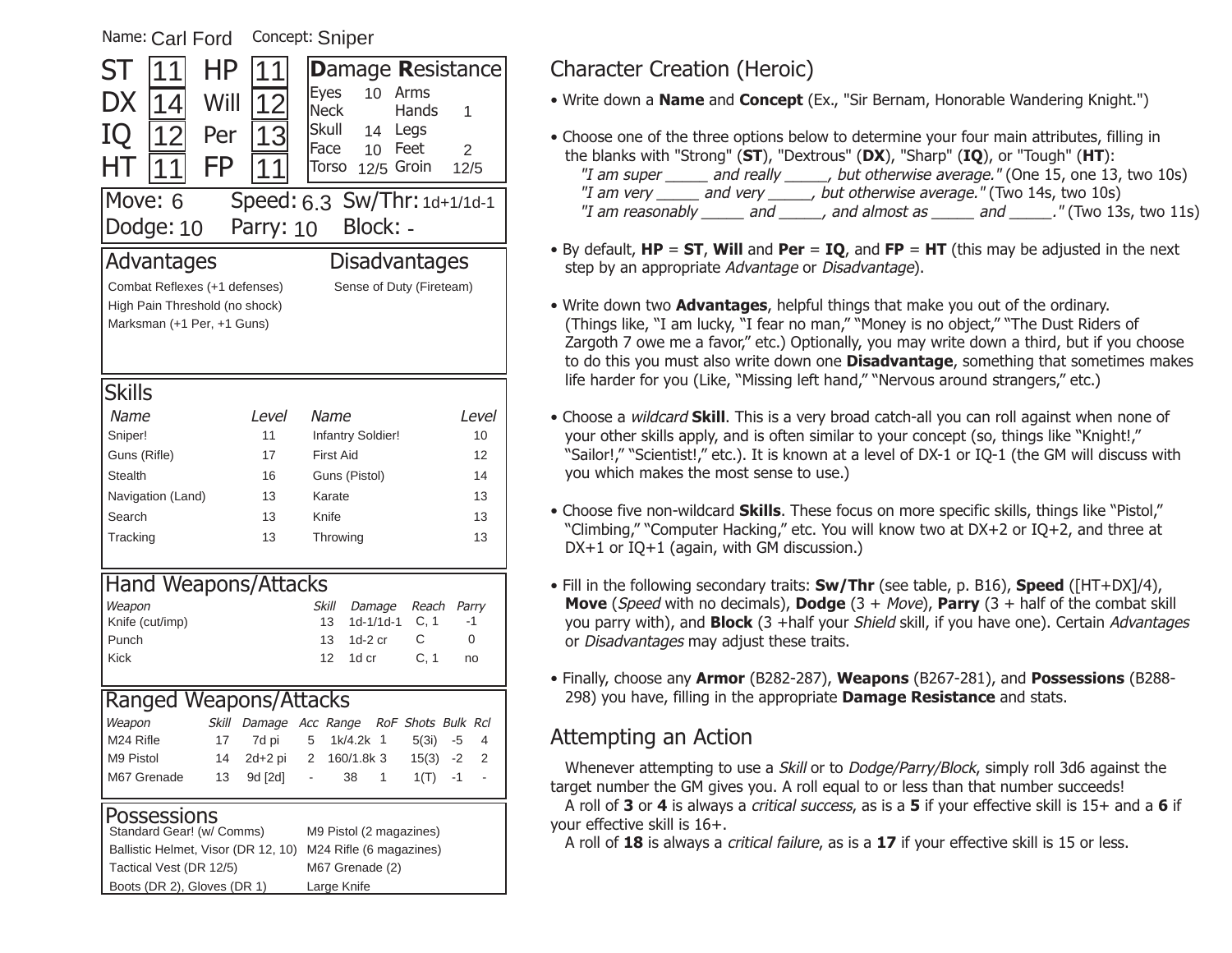| Name: Carl Ford<br>Concept: Sniper                                                                                                                       |                                                                  |                                                                                                                                                                       |                                           |  |  |  |
|----------------------------------------------------------------------------------------------------------------------------------------------------------|------------------------------------------------------------------|-----------------------------------------------------------------------------------------------------------------------------------------------------------------------|-------------------------------------------|--|--|--|
| ΗP<br>ST<br>DX<br>Will<br>14<br>IQ<br>12<br>Per<br>FP                                                                                                    | 12<br>13                                                         | <b>Damage Resistance</b><br><b>Eyes</b><br>10<br>Arms<br><b>Neck</b><br>Hands<br><b>Skull</b><br>14<br>Legs<br>Face<br>Feet<br>10 <sup>°</sup><br>12/5 Groin<br>Torso | 1<br>$\overline{2}$<br>12/5               |  |  |  |
| Dodge: 10                                                                                                                                                | Move: 6<br>Speed: 6.3 Sw/Thr: 1d+1/1d-1<br>Block: -<br>Parry: 10 |                                                                                                                                                                       |                                           |  |  |  |
| Advantages<br>Disadvantages<br>Combat Reflexes (+1 defenses)<br>Sense of Duty (Fireteam)<br>High Pain Threshold (no shock)<br>Marksman (+1 Per, +1 Guns) |                                                                  |                                                                                                                                                                       |                                           |  |  |  |
| <b>Skills</b><br>Name<br>Sniper!<br>Guns (Rifle)<br><b>Stealth</b><br>Navigation (Land)<br>Search<br>Tracking                                            | Level<br>11<br>17<br>16<br>13<br>13<br>13                        | Name<br>Infantry Soldier!<br><b>First Aid</b><br>Guns (Pistol)<br>Karate<br>Knife<br>Throwing                                                                         | Level<br>10<br>12<br>14<br>13<br>13<br>13 |  |  |  |
| Hand Weapons/Attacks<br>Weapon<br>Knife (cut/imp)<br>Punch<br><b>Kick</b>                                                                                |                                                                  | Skill<br>Reach<br>Damage<br>C, 1<br>13<br>1d-1/1d-1<br>13<br>С<br>1d-2 cr<br>C, 1<br>12<br>1d cr                                                                      | Parry<br>-1<br>0<br>no                    |  |  |  |
| Ranged Weapons/Attacks<br>Weapon<br>Skill<br>M24 Rifle<br>17<br>M9 Pistol<br>14<br>M67 Grenade<br>13                                                     | 7d pi<br>2d+2 pi<br>9d [2d]                                      | Damage Acc Range<br>RoF Shots Bulk Rcl<br>5(3i)<br>1k/4.2k 1<br>5<br>2<br>160/1.8k 3<br>15(3)<br>1<br>38<br>1(T)                                                      | $-5$<br>4<br>$-2$<br>2<br>-1              |  |  |  |
| Possessions<br>Standard Gear! (w/ Comms)<br>Ballistic Helmet, Visor (DR 12, 10)<br>Tactical Vest (DR 12/5)<br>Boots (DR 2), Gloves (DR 1)                |                                                                  | M9 Pistol (2 magazines)<br>M24 Rifle (6 magazines)<br>M67 Grenade (2)<br>Large Knife                                                                                  |                                           |  |  |  |

# Character Creation (Heroic)

• Write down a **Name** and **Concept** (Ex., "Sir Bernam, Honorable Wandering Knight.")

- Choose one of the three options below to determine your four main attributes, filling in the blanks with "Strong" (**ST**), "Dextrous" (**DX**), "Sharp" (**IQ**), or "Tough" (**HT**): "I am super \_\_\_\_\_ and really \_\_\_\_\_, but otherwise average." (One 15, one 13, two 10s) "I am very \_\_\_\_\_ and very \_\_\_\_\_, but otherwise average." (Two 14s, two 10s) "I am reasonably and  $\overline{a}$ , and almost as  $\overline{a}$  and  $\overline{a}$ ." (Two 13s, two 11s)
- By default, **HP** <sup>=</sup>**ST**, **Will** and **Per** <sup>=</sup>**IQ**, and **FP** <sup>=</sup>**HT** (this may be adjusted in the next step by an appropriate Advantage or Disadvantage).
- Write down two **Advantages**, helpful things that make you out of the ordinary. (Things like, "I am lucky, "I fear no man," "Money is no object," "The Dust Riders of Zargoth 7 owe me a favor," etc.) Optionally, you may write down a third, but if you choose to do this you must also write down one **Disadvantage**, something that sometimes makes life harder for you (Like, "Missing left hand," "Nervous around strangers," etc.)
- Choose a wildcard **Skill**. This is a very broad catch-all you can roll against when none of your other skills apply, and is often similar to your concept (so, things like "Knight!,"  "Sailor!," "Scientist!," etc.). It is known at a level of DX-1 or IQ-1 (the GM will discuss with you which makes the most sense to use.)
- Choose five non-wildcard **Skills**. These focus on more specific skills, things like "Pistol," "Climbing," "Computer Hacking," etc. You will know two at DX+2 or IQ+2, and three at DX+1 or IQ+1 (again, with GM discussion.)
- Fill in the following secondary traits: **Sw/Thr** (see table, p. B16), **Speed** ([HT+DX]/4), **Move** (Speed with no decimals), **Dodge** (3 + Move), **Parry** (3 + half of the combat skill you parry with), and **Block** (3 +half your Shield skill, if you have one). Certain Advantages or Disadvantages may adjust these traits.
- Finally, choose any **Armor** (B282-287), **Weapons** (B267-281), and **Possessions** (B288- 298) you have, filling in the appropriate **Damage Resistance** and stats.

# Attempting an Action

Whenever attempting to use a *Skill* or to *Dodge/Parry/Block*, simply roll 3d6 against the target number the GM gives you. A roll equal to or less than that number succeeds!

A roll of **3** or **4** is always a critical success, as is a **5** if your effective skill is 15+ and a **6** if your effective skill is 16+.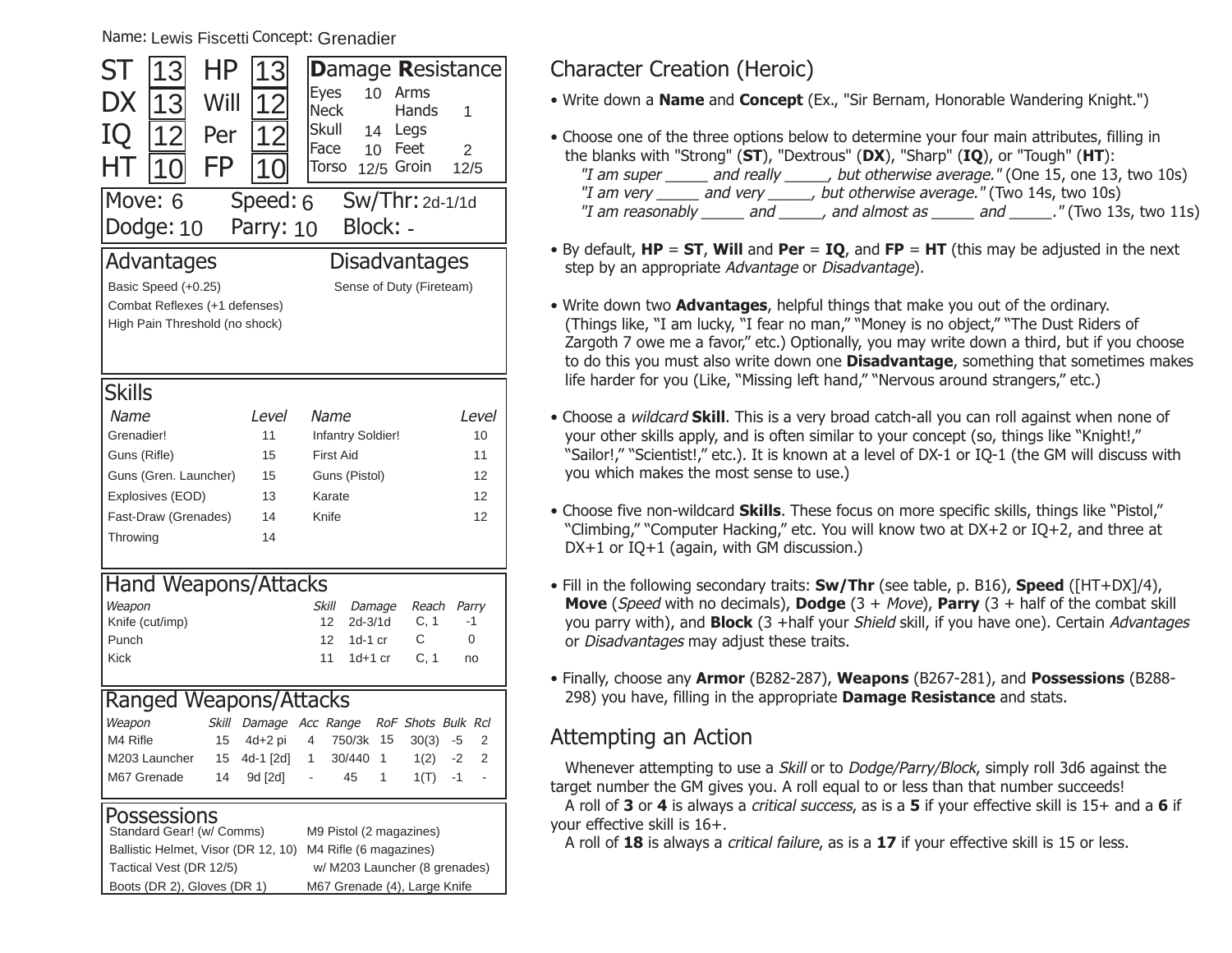Name: Lewis Fiscetti Concept: Grenadier

| ST                   | 13                                                   | ΗP    | З                                   |                     |                        | <b>Damage Resistance</b> |                |                |
|----------------------|------------------------------------------------------|-------|-------------------------------------|---------------------|------------------------|--------------------------|----------------|----------------|
| DX                   | 13                                                   | Will  | 12                                  | <b>Eyes</b><br>Neck | 10                     | Arms<br>Hands            | 1              |                |
| IO                   |                                                      | Per   | 12                                  | Skull               | 14                     | Legs                     |                |                |
|                      | 12                                                   |       |                                     | Face                | 10 <sup>°</sup>        | Feet                     | $\overline{2}$ |                |
| HТ                   |                                                      | FP    |                                     | Torso               |                        | 12/5 Groin               | 12/5           |                |
| Move: 6              |                                                      |       | Speed: 6                            |                     |                        | $Sw/Thr:$ 2d-1/1d        |                |                |
|                      | Dodge: 10                                            |       | Parry: 10                           |                     | Block: -               |                          |                |                |
|                      | Advantages                                           |       |                                     |                     |                        | <b>Disadvantages</b>     |                |                |
|                      |                                                      |       |                                     |                     |                        |                          |                |                |
|                      | Basic Speed (+0.25)<br>Combat Reflexes (+1 defenses) |       |                                     |                     |                        | Sense of Duty (Fireteam) |                |                |
|                      | High Pain Threshold (no shock)                       |       |                                     |                     |                        |                          |                |                |
|                      |                                                      |       |                                     |                     |                        |                          |                |                |
|                      |                                                      |       |                                     |                     |                        |                          |                |                |
| <b>Skills</b>        |                                                      |       |                                     |                     |                        |                          |                |                |
| Name                 |                                                      |       | <i>Level</i>                        | Name                |                        |                          | <i>Level</i>   |                |
| Grenadier!           |                                                      |       | 11                                  |                     | Infantry Soldier!      |                          | 10             |                |
| Guns (Rifle)         |                                                      |       | 15                                  | <b>First Aid</b>    |                        |                          | 11             |                |
|                      | Guns (Gren. Launcher)                                |       | 15                                  |                     | Guns (Pistol)          |                          | 12             |                |
|                      | Explosives (EOD)                                     |       | 13                                  | Karate              |                        |                          |                | 12             |
|                      | Fast-Draw (Grenades)                                 |       | 14                                  | Knife               |                        |                          | 12             |                |
| Throwing             |                                                      |       | 14                                  |                     |                        |                          |                |                |
|                      |                                                      |       |                                     |                     |                        |                          |                |                |
|                      |                                                      |       | <b>Hand Weapons/Attacks</b>         |                     |                        |                          |                |                |
| Weapon               |                                                      |       |                                     | <b>Skill</b>        | Damage                 | Reach                    | Parry          |                |
|                      | Knife (cut/imp)                                      |       |                                     | 12                  | 2d-3/1d                | C, 1                     | -1             |                |
| Punch<br><b>Kick</b> |                                                      |       |                                     | 12<br>11            | $1d-1$ cr<br>$1d+1$ cr | С<br>C, 1                | 0              |                |
|                      |                                                      |       |                                     |                     |                        |                          | no             |                |
|                      |                                                      |       | <b>Ranged Weapons/Attacks</b>       |                     |                        |                          |                |                |
| Weapon               |                                                      | Skill | Damage                              | Acc Range           |                        | RoF Shots Bulk Rcl       |                |                |
| M4 Rifle             |                                                      | 15    | 4d+2 pi                             | 4                   | 750/3k<br>15           | 30(3)                    | -5             | $\overline{2}$ |
|                      | M203 Launcher                                        | 15    | 4d-1 [2d]                           | 1                   | 1<br>30/440            | 1(2)                     | $-2$           | $\overline{2}$ |
|                      | M67 Grenade                                          | 14    | 9d [2d]                             | ä,                  | 1<br>45                | 1(T)                     | -1             | $\blacksquare$ |
|                      | <b>Possessions</b>                                   |       |                                     |                     |                        |                          |                |                |
|                      | Standard Gear! (w/ Comms)                            |       |                                     |                     |                        | M9 Pistol (2 magazines)  |                |                |
|                      |                                                      |       | Ballistic Helmet, Visor (DR 12, 10) |                     | M4 Rifle (6 magazines) |                          |                |                |

w/ M203 Launcher (8 grenades) M67 Grenade (4), Large Knife

Tactical Vest (DR 12/5) Boots (DR 2), Gloves (DR 1)

### Character Creation (Heroic)

• Write down a **Name** and **Concept** (Ex., "Sir Bernam, Honorable Wandering Knight.")

- Choose one of the three options below to determine your four main attributes, filling in the blanks with "Strong" (**ST**), "Dextrous" (**DX**), "Sharp" (**IQ**), or "Tough" (**HT**): "I am super \_\_\_\_\_ and really \_\_\_\_\_, but otherwise average." (One 15, one 13, two 10s) "I am very \_\_\_\_\_\_ and very \_\_\_\_\_\_, but otherwise average." (Two 14s, two 10s) "I am reasonably \_\_\_\_\_\_ and \_\_\_\_\_\_, and almost as \_\_\_\_\_\_ and \_\_\_\_\_\_." (Two 13s, two 11s)
- By default, **HP** <sup>=</sup>**ST**, **Will** and **Per** <sup>=</sup>**IQ**, and **FP** <sup>=</sup>**HT** (this may be adjusted in the next step by an appropriate Advantage or Disadvantage).
- Write down two **Advantages**, helpful things that make you out of the ordinary. (Things like, "I am lucky, "I fear no man," "Money is no object," "The Dust Riders of Zargoth 7 owe me a favor," etc.) Optionally, you may write down a third, but if you choose to do this you must also write down one **Disadvantage**, something that sometimes makes life harder for you (Like, "Missing left hand," "Nervous around strangers," etc.)
- Choose a wildcard **Skill**. This is a very broad catch-all you can roll against when none of your other skills apply, and is often similar to your concept (so, things like "Knight!,"  "Sailor!," "Scientist!," etc.). It is known at a level of DX-1 or IO-1 (the GM will discuss with you which makes the most sense to use.)
- Choose five non-wildcard **Skills**. These focus on more specific skills, things like "Pistol," "Climbing," "Computer Hacking," etc. You will know two at DX+2 or IQ+2, and three at DX+1 or IQ+1 (again, with GM discussion.)
- Fill in the following secondary traits: **Sw/Thr** (see table, p. B16), **Speed** ([HT+DX]/4), **Move** (Speed with no decimals), **Dodge** (3 + Move), **Parry** (3 + half of the combat skill you parry with), and **Block** (3 +half your Shield skill, if you have one). Certain Advantages or Disadvantages may adjust these traits.
- Finally, choose any **Armor** (B282-287), **Weapons** (B267-281), and **Possessions** (B288- 298) you have, filling in the appropriate **Damage Resistance** and stats.

### Attempting an Action

Whenever attempting to use a *Skill* or to *Dodge/Parry/Block*, simply roll 3d6 against the target number the GM gives you. A roll equal to or less than that number succeeds!

A roll of **3** or **4** is always a critical success, as is a **5** if your effective skill is 15+ and a **6** if your effective skill is 16+.